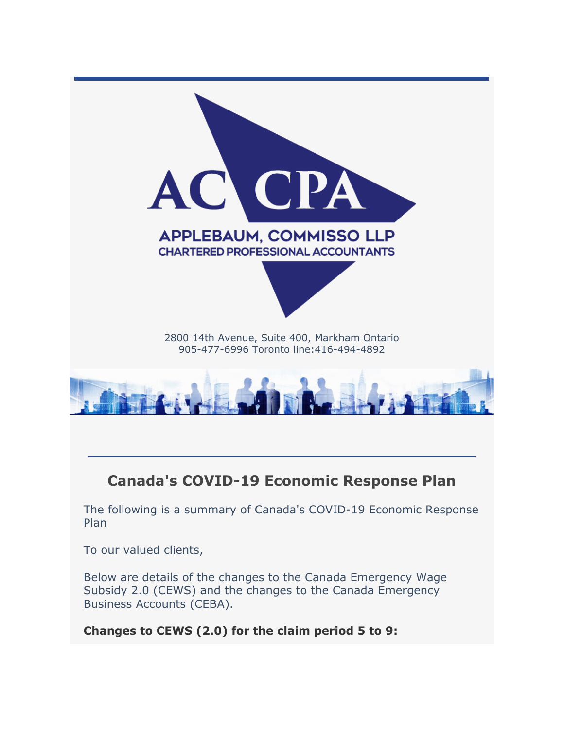

# **Canada's COVID-19 Economic Response Plan**

The following is a summary of Canada's COVID-19 Economic Response Plan

To our valued clients,

Below are details of the changes to the Canada Emergency Wage Subsidy 2.0 (CEWS) and the changes to the Canada Emergency Business Accounts (CEBA).

**Changes to CEWS (2.0) for the claim period 5 to 9:**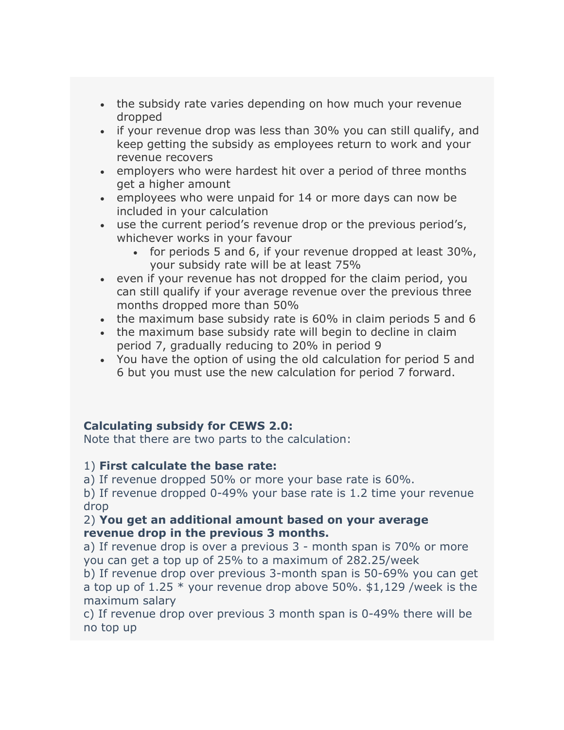- the subsidy rate varies depending on how much your revenue dropped
- if your revenue drop was less than 30% you can still qualify, and keep getting the subsidy as employees return to work and your revenue recovers
- employers who were hardest hit over a period of three months get a higher amount
- employees who were unpaid for 14 or more days can now be included in your calculation
- use the current period's revenue drop or the previous period's, whichever works in your favour
	- for periods 5 and 6, if your revenue dropped at least 30%, your subsidy rate will be at least 75%
- even if your revenue has not dropped for the claim period, you can still qualify if your average revenue over the previous three months dropped more than 50%
- the maximum base subsidy rate is 60% in claim periods 5 and 6
- the maximum base subsidy rate will begin to decline in claim period 7, gradually reducing to 20% in period 9
- You have the option of using the old calculation for period 5 and 6 but you must use the new calculation for period 7 forward.

## **Calculating subsidy for CEWS 2.0:**

Note that there are two parts to the calculation:

## 1) **First calculate the base rate:**

a) If revenue dropped 50% or more your base rate is 60%.

b) If revenue dropped 0-49% your base rate is 1.2 time your revenue drop

## 2) **You get an additional amount based on your average revenue drop in the previous 3 months.**

a) If revenue drop is over a previous 3 - month span is 70% or more you can get a top up of 25% to a maximum of 282.25/week

b) If revenue drop over previous 3-month span is 50-69% you can get a top up of  $1.25 *$  your revenue drop above 50%. \$1,129 /week is the maximum salary

c) If revenue drop over previous 3 month span is 0-49% there will be no top up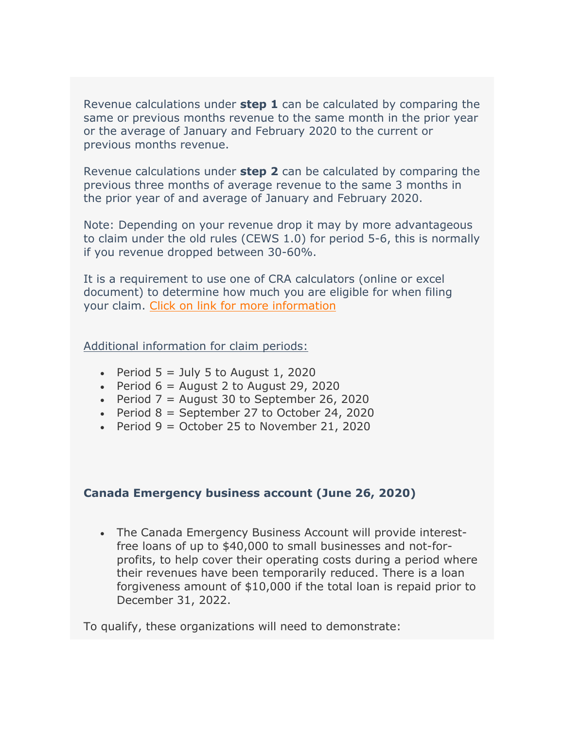Revenue calculations under **step 1** can be calculated by comparing the same or previous months revenue to the same month in the prior year or the average of January and February 2020 to the current or previous months revenue.

Revenue calculations under **step 2** can be calculated by comparing the previous three months of average revenue to the same 3 months in the prior year of and average of January and February 2020.

Note: Depending on your revenue drop it may by more advantageous to claim under the old rules (CEWS 1.0) for period 5-6, this is normally if you revenue dropped between 30-60%.

It is a requirement to use one of CRA calculators (online or excel document) to determine how much you are eligible for when filing your claim. [Click on link for more information](http://r20.rs6.net/tn.jsp?f=001C9HXxxtHtW1tV_0DEHHVWSWKAgc3jvMlYO810CfeFD9qEa61LwyCA_20-CUt_wOQW2aLD3xp7M_Yc_ajCIPLNKQtAJ_czaQkEcgxBCHx8P-2U7Wt2yTqlYnF-CTJ1DRUpSVE-BhHRClbyDWLb90ayBFSZ-x1Te2Ew7QIfGy8x9s6PKP1P6d8RImg99M-00O12QYwu7qjxO3JmstoD2pujVoVdkB_uZ0QMHvJsB3xXqsuUoqup7a8MQv9K82rGE3Xq0WFpp7JXIOVqnqpQyZpW6E7o8tlvY_k&c=SdGMazNeCcGRhyBb3E8pPnkqNK0nHG4sXrTatWU5uE3jc6yB5EZQsw==&ch=NiUP0IV8keCJUbfj66bJDax2ADIDYMWH9hsJLy3Ec-L99Vih8jvWXw==)

## Additional information for claim periods:

- Period  $5 =$  July 5 to August 1, 2020
- Period  $6 =$  August 2 to August 29, 2020
- Period  $7 =$  August 30 to September 26, 2020
- Period  $8 =$  September 27 to October 24, 2020
- Period  $9 =$  October 25 to November 21, 2020

#### **Canada Emergency business account (June 26, 2020)**

• The Canada Emergency Business Account will provide interestfree loans of up to \$40,000 to small businesses and not-forprofits, to help cover their operating costs during a period where their revenues have been temporarily reduced. There is a loan forgiveness amount of \$10,000 if the total loan is repaid prior to December 31, 2022.

To qualify, these organizations will need to demonstrate: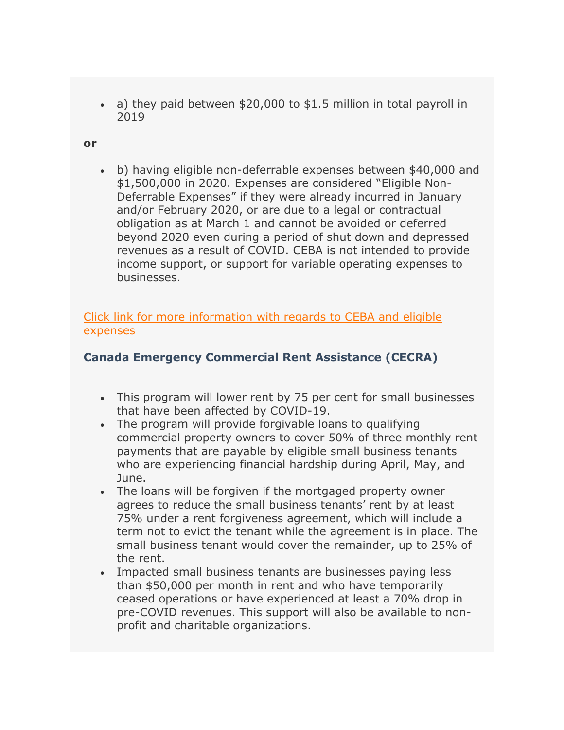• a) they paid between \$20,000 to \$1.5 million in total payroll in 2019

#### **or**

• b) having eligible non-deferrable expenses between \$40,000 and \$1,500,000 in 2020. Expenses are considered "Eligible Non-Deferrable Expenses" if they were already incurred in January and/or February 2020, or are due to a legal or contractual obligation as at March 1 and cannot be avoided or deferred beyond 2020 even during a period of shut down and depressed revenues as a result of COVID. CEBA is not intended to provide income support, or support for variable operating expenses to businesses.

[Click link for more information with regards to](http://r20.rs6.net/tn.jsp?f=001C9HXxxtHtW1tV_0DEHHVWSWKAgc3jvMlYO810CfeFD9qEa61LwyCA_20-CUt_wOQPkAD5HMS3zBXW9VnVoLShfEoFUFkdnitkCuhHj25qHr9mUgM0fbWUUvQmevEEnWRZkcf8vNSgtE=&c=SdGMazNeCcGRhyBb3E8pPnkqNK0nHG4sXrTatWU5uE3jc6yB5EZQsw==&ch=NiUP0IV8keCJUbfj66bJDax2ADIDYMWH9hsJLy3Ec-L99Vih8jvWXw==) CEBA and eligible [expenses](http://r20.rs6.net/tn.jsp?f=001C9HXxxtHtW1tV_0DEHHVWSWKAgc3jvMlYO810CfeFD9qEa61LwyCA_20-CUt_wOQPkAD5HMS3zBXW9VnVoLShfEoFUFkdnitkCuhHj25qHr9mUgM0fbWUUvQmevEEnWRZkcf8vNSgtE=&c=SdGMazNeCcGRhyBb3E8pPnkqNK0nHG4sXrTatWU5uE3jc6yB5EZQsw==&ch=NiUP0IV8keCJUbfj66bJDax2ADIDYMWH9hsJLy3Ec-L99Vih8jvWXw==)

## **Canada Emergency Commercial Rent Assistance (CECRA)**

- This program will lower rent by 75 per cent for small businesses that have been affected by COVID-19.
- The program will provide forgivable loans to qualifying commercial property owners to cover 50% of three monthly rent payments that are payable by eligible small business tenants who are experiencing financial hardship during April, May, and June.
- The loans will be forgiven if the mortgaged property owner agrees to reduce the small business tenants' rent by at least 75% under a rent forgiveness agreement, which will include a term not to evict the tenant while the agreement is in place. The small business tenant would cover the remainder, up to 25% of the rent.
- Impacted small business tenants are businesses paying less than \$50,000 per month in rent and who have temporarily ceased operations or have experienced at least a 70% drop in pre-COVID revenues. This support will also be available to nonprofit and charitable organizations.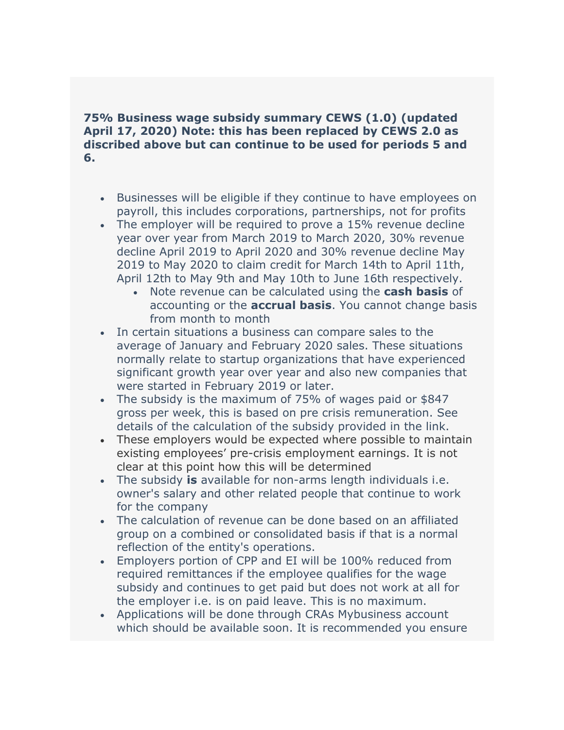## **75% Business wage subsidy summary CEWS (1.0) (updated April 17, 2020) Note: this has been replaced by CEWS 2.0 as discribed above but can continue to be used for periods 5 and 6.**

- Businesses will be eligible if they continue to have employees on payroll, this includes corporations, partnerships, not for profits
- The employer will be required to prove a 15% revenue decline year over year from March 2019 to March 2020, 30% revenue decline April 2019 to April 2020 and 30% revenue decline May 2019 to May 2020 to claim credit for March 14th to April 11th, April 12th to May 9th and May 10th to June 16th respectively.
	- Note revenue can be calculated using the **cash basis** of accounting or the **accrual basis**. You cannot change basis from month to month
- In certain situations a business can compare sales to the average of January and February 2020 sales. These situations normally relate to startup organizations that have experienced significant growth year over year and also new companies that were started in February 2019 or later.
- The subsidy is the maximum of 75% of wages paid or \$847 gross per week, this is based on pre crisis remuneration. See details of the calculation of the subsidy provided in the link.
- These employers would be expected where possible to maintain existing employees' pre-crisis employment earnings. It is not clear at this point how this will be determined
- The subsidy **is** available for non-arms length individuals i.e. owner's salary and other related people that continue to work for the company
- The calculation of revenue can be done based on an affiliated group on a combined or consolidated basis if that is a normal reflection of the entity's operations.
- Employers portion of CPP and EI will be 100% reduced from required remittances if the employee qualifies for the wage subsidy and continues to get paid but does not work at all for the employer i.e. is on paid leave. This is no maximum.
- Applications will be done through CRAs Mybusiness account which should be available soon. It is recommended you ensure